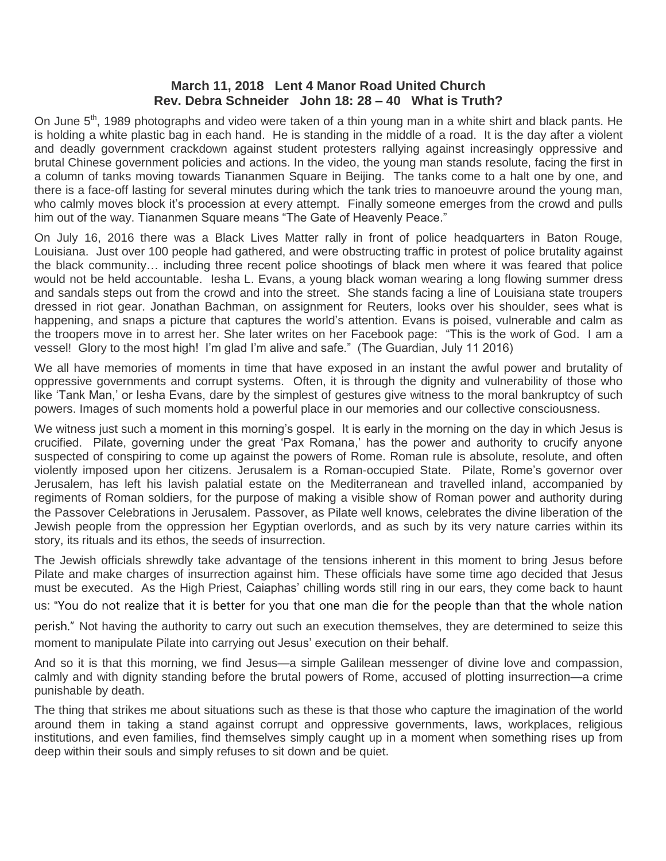## **March 11, 2018 Lent 4 Manor Road United Church Rev. Debra Schneider John 18: 28 – 40 What is Truth?**

On June 5<sup>th</sup>, 1989 photographs and video were taken of a thin young man in a white shirt and black pants. He is holding a white plastic bag in each hand. He is standing in the middle of a road. It is the day after a violent and deadly government crackdown against student protesters rallying against increasingly oppressive and brutal Chinese government policies and actions. In the video, the young man stands resolute, facing the first in a column of tanks moving towards Tiananmen Square in Beijing. The tanks come to a halt one by one, and there is a face-off lasting for several minutes during which the tank tries to manoeuvre around the young man, who calmly moves block it's procession at every attempt. Finally someone emerges from the crowd and pulls him out of the way. Tiananmen Square means "The Gate of Heavenly Peace."

On July 16, 2016 there was a Black Lives Matter rally in front of police headquarters in Baton Rouge, Louisiana. Just over 100 people had gathered, and were obstructing traffic in protest of police brutality against the black community… including three recent police shootings of black men where it was feared that police would not be held accountable. Iesha L. Evans, a young black woman wearing a long flowing summer dress and sandals steps out from the crowd and into the street. She stands facing a line of Louisiana state troupers dressed in riot gear. Jonathan Bachman, on assignment for Reuters, looks over his shoulder, sees what is happening, and snaps a picture that captures the world's attention. Evans is poised, vulnerable and calm as the troopers move in to arrest her. She later writes on her Facebook page: "This is the work of God. I am a vessel! Glory to the most high! I'm glad I'm alive and safe." (The Guardian, July 11 2016)

We all have memories of moments in time that have exposed in an instant the awful power and brutality of oppressive governments and corrupt systems. Often, it is through the dignity and vulnerability of those who like 'Tank Man,' or Iesha Evans, dare by the simplest of gestures give witness to the moral bankruptcy of such powers. Images of such moments hold a powerful place in our memories and our collective consciousness.

We witness just such a moment in this morning's gospel. It is early in the morning on the day in which Jesus is crucified. Pilate, governing under the great 'Pax Romana,' has the power and authority to crucify anyone suspected of conspiring to come up against the powers of Rome. Roman rule is absolute, resolute, and often violently imposed upon her citizens. Jerusalem is a Roman-occupied State. Pilate, Rome's governor over Jerusalem, has left his lavish palatial estate on the Mediterranean and travelled inland, accompanied by regiments of Roman soldiers, for the purpose of making a visible show of Roman power and authority during the Passover Celebrations in Jerusalem. Passover, as Pilate well knows, celebrates the divine liberation of the Jewish people from the oppression her Egyptian overlords, and as such by its very nature carries within its story, its rituals and its ethos, the seeds of insurrection.

The Jewish officials shrewdly take advantage of the tensions inherent in this moment to bring Jesus before Pilate and make charges of insurrection against him. These officials have some time ago decided that Jesus must be executed. As the High Priest, Caiaphas' chilling words still ring in our ears, they come back to haunt

us: "You do not realize that it is better for you that one man die for the people than that the whole nation

perish." Not having the authority to carry out such an execution themselves, they are determined to seize this moment to manipulate Pilate into carrying out Jesus' execution on their behalf.

And so it is that this morning, we find Jesus—a simple Galilean messenger of divine love and compassion, calmly and with dignity standing before the brutal powers of Rome, accused of plotting insurrection—a crime punishable by death.

The thing that strikes me about situations such as these is that those who capture the imagination of the world around them in taking a stand against corrupt and oppressive governments, laws, workplaces, religious institutions, and even families, find themselves simply caught up in a moment when something rises up from deep within their souls and simply refuses to sit down and be quiet.